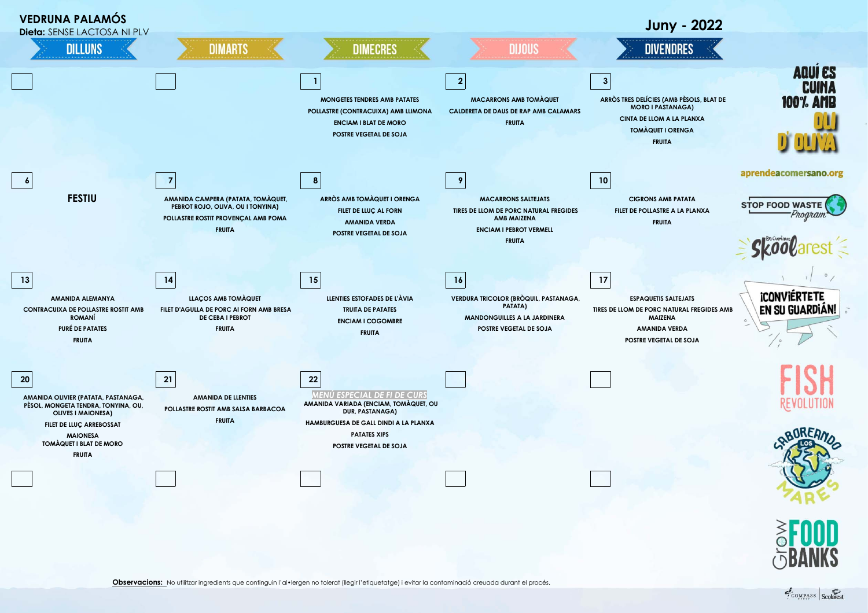